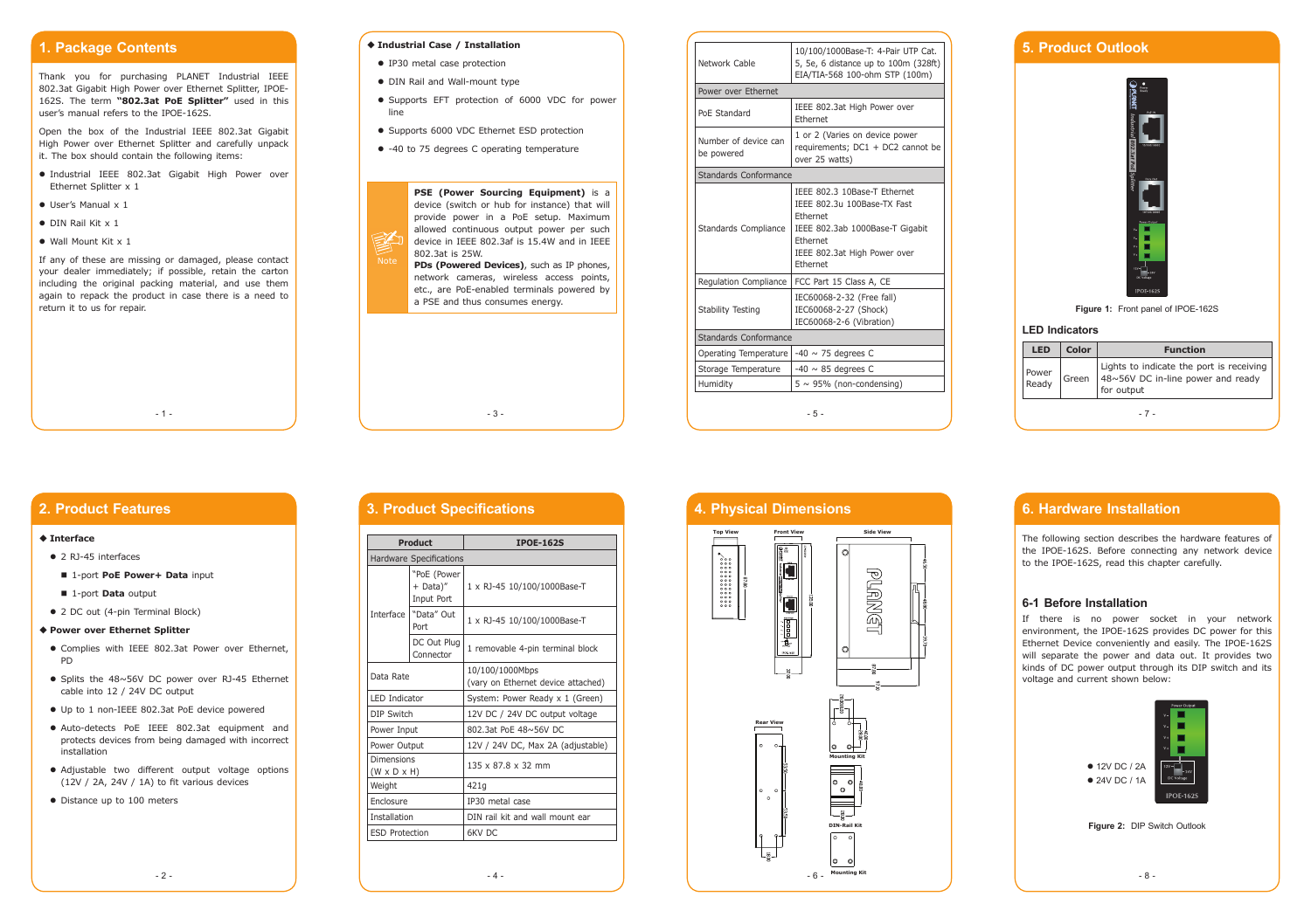- 3 -

## **1. Package Contents**

Thank you for purchasing PLANET Industrial IEEE 802.3at Gigabit High Power over Ethernet Splitter, IPOE-162S. The term **"802.3at PoE Splitter"** used in this user's manual refers to the IPOE-162S.

- Industrial IEEE 802.3at Gigabit High Power over Ethernet Splitter x 1
- **User's Manual x 1**
- $\bullet$  DIN Rail Kit x 1
- Wall Mount Kit x 1

Open the box of the Industrial IEEE 802.3at Gigabit High Power over Ethernet Splitter and carefully unpack it. The box should contain the following items:

If any of these are missing or damaged, please contact your dealer immediately; if possible, retain the carton including the original packing material, and use them again to repack the product in case there is a need to return it to us for repair.

 $-1 -$ 

#### **Industrial Case / Installation**

- IP30 metal case protection
- DIN Rail and Wall-mount type
- Supports EFT protection of 6000 VDC for power line
- Supports 6000 VDC Ethernet ESD protection
- -40 to 75 degrees C operating temperature

| <b>LED</b>     | Color | <b>Function</b>                                                                             |  |  |
|----------------|-------|---------------------------------------------------------------------------------------------|--|--|
| Power<br>Ready | Green | Lights to indicate the port is receiving<br>48~56V DC in-line power and ready<br>for output |  |  |
|                |       |                                                                                             |  |  |

| Network Cable                      | 10/100/1000Base-T: 4-Pair UTP Cat.<br>5, 5e, 6 distance up to 100m (328ft)<br>EIA/TIA-568 100-ohm STP (100m)                                                       |  |  |  |
|------------------------------------|--------------------------------------------------------------------------------------------------------------------------------------------------------------------|--|--|--|
| Power over Ethernet                |                                                                                                                                                                    |  |  |  |
| PoE Standard                       | IEEE 802.3at High Power over<br><b>Fthernet</b>                                                                                                                    |  |  |  |
| Number of device can<br>be powered | 1 or 2 (Varies on device power<br>requirements; DC1 + DC2 cannot be<br>over 25 watts)                                                                              |  |  |  |
| Standards Conformance              |                                                                                                                                                                    |  |  |  |
| Standards Compliance               | IEEE 802.3 10Base-T Ethernet<br>IEEE 802.3u 100Base-TX Fast<br>Fthernet<br>IEEE 802.3ab 1000Base-T Gigabit<br>Ethernet<br>IEEE 802.3at High Power over<br>Ethernet |  |  |  |
| Regulation Compliance              | FCC Part 15 Class A, CE                                                                                                                                            |  |  |  |
| <b>Stability Testing</b>           | IEC60068-2-32 (Free fall)<br>IEC60068-2-27 (Shock)<br>IEC60068-2-6 (Vibration)                                                                                     |  |  |  |
| Standards Conformance              |                                                                                                                                                                    |  |  |  |
| Operating Temperature              | $-40 \sim 75$ degrees C                                                                                                                                            |  |  |  |
| Storage Temperature                | $-40 \sim 85$ degrees C                                                                                                                                            |  |  |  |
| Humidity                           | $5 \sim 95\%$ (non-condensing)                                                                                                                                     |  |  |  |
|                                    | $-5-$                                                                                                                                                              |  |  |  |



- Complies with IEEE 802.3at Power over Ethernet, PD
- $\bullet$  Splits the 48~56V DC power over RJ-45 Ethernet cable into 12 / 24V DC output
- Up to 1 non-IEEE 802.3at PoE device powered
- Auto-detects PoE IEEE 802.3at equipment and protects devices from being damaged with incorrect installation
- Adjustable two different output voltage options (12V / 2A, 24V / 1A) to fit various devices
- Distance up to 100 meters

## **5. Product Outlook**





#### **LED Indicators**

### **2. Product Features**

#### **Interface**

- 2 RJ-45 interfaces
- 1-port PoE Power+ Data input
- 1-port **Data** output
- 2 DC out (4-pin Terminal Block)

#### **Power over Ethernet Splitter**

### **3. Product Specifications**

|                                       | <b>Product</b>                        | <b>IPOE-162S</b>                                      |  |  |
|---------------------------------------|---------------------------------------|-------------------------------------------------------|--|--|
| <b>Hardware Specifications</b>        |                                       |                                                       |  |  |
|                                       | "PoE (Power<br>+ Data)"<br>Input Port | 1 x RJ-45 10/100/1000Base-T                           |  |  |
| Interface I                           | "Data" Out<br>Port                    | 1 x RJ-45 10/100/1000Base-T                           |  |  |
|                                       | DC Out Plug<br>Connector              | 1 removable 4-pin terminal block                      |  |  |
| Data Rate                             |                                       | 10/100/1000Mbps<br>(vary on Ethernet device attached) |  |  |
| I FD Indicator                        |                                       | System: Power Ready x 1 (Green)                       |  |  |
| DIP Switch                            |                                       | 12V DC / 24V DC output voltage                        |  |  |
| Power Input                           |                                       | 802.3at PoF 48~56V DC                                 |  |  |
| Power Output                          |                                       | 12V / 24V DC, Max 2A (adjustable)                     |  |  |
| Dimensions<br>$(W \times D \times H)$ |                                       | 135 x 87.8 x 32 mm                                    |  |  |
| Weight                                |                                       | 421g                                                  |  |  |
| Enclosure                             |                                       | IP30 metal case                                       |  |  |
| Installation                          |                                       | DIN rail kit and wall mount ear                       |  |  |
| <b>ESD Protection</b>                 |                                       | 6KV DC                                                |  |  |

### **6. Hardware Installation**

The following section describes the hardware features of the IPOE-162S. Before connecting any network device to the IPOE-162S, read this chapter carefully.

#### **6-1 Before Installation**

If there is no power socket in your network environment, the IPOE-162S provides DC power for this Ethernet Device conveniently and easily. The IPOE-162S will separate the power and data out. It provides two kinds of DC power output through its DIP switch and its voltage and current shown below:



**Figure 2:** DIP Switch Outlook

### **4. Physical Dimensions**



 $-4 -$